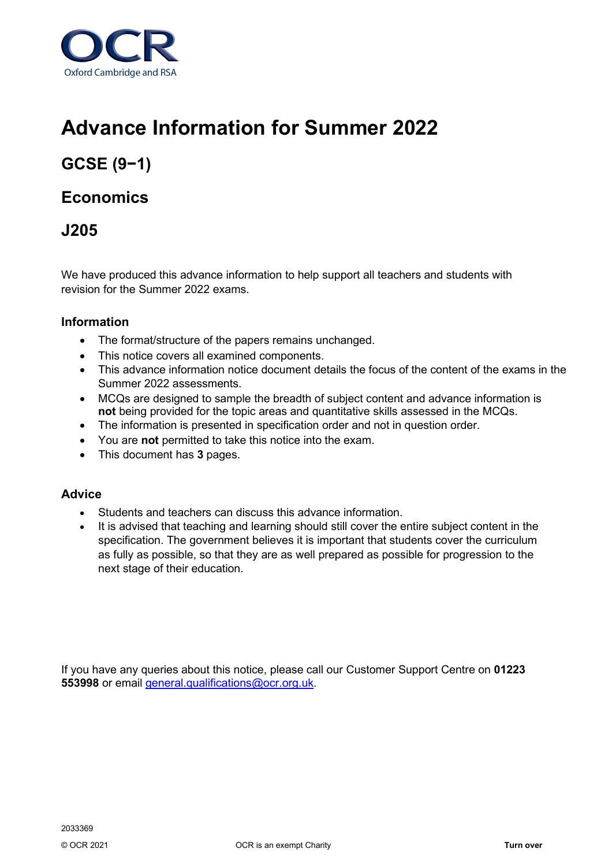

# **Advance Information for Summer 2022**

## **GCSE (9−1)**

### **Economics**

## **J205**

We have produced this advance information to help support all teachers and students with revision for the Summer 2022 exams.

#### **Information**

- The format/structure of the papers remains unchanged.
- This notice covers all examined components.
- This advance information notice document details the focus of the content of the exams in the Summer 2022 assessments.
- MCQs are designed to sample the breadth of subject content and advance information is **not** being provided for the topic areas and quantitative skills assessed in the MCQs.
- The information is presented in specification order and not in question order.
- You are **not** permitted to take this notice into the exam.
- This document has **3** pages.

#### **Advice**

- Students and teachers can discuss this advance information.
- It is advised that teaching and learning should still cover the entire subject content in the specification. The government believes it is important that students cover the curriculum as fully as possible, so that they are as well prepared as possible for progression to the next stage of their education.

If you have any queries about this notice, please call our Customer Support Centre on **01223 553998** or email [general.qualifications@ocr.org.uk.](mailto:general.qualifications@ocr.org.uk)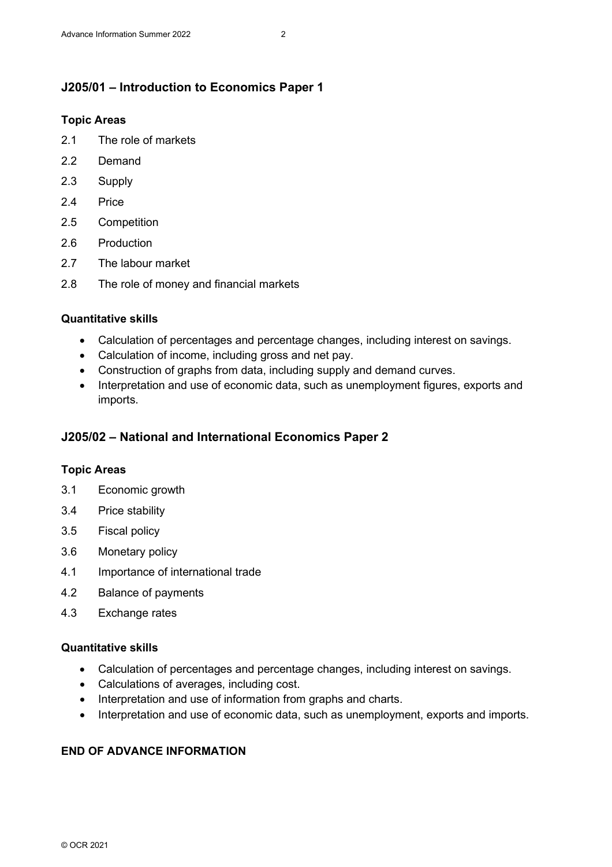#### **J205/01 – Introduction to Economics Paper 1**

#### **Topic Areas**

- 2.1 The role of markets
- 2.2 Demand
- 2.3 Supply
- 2.4 Price
- 2.5 Competition
- 2.6 Production
- 2.7 The labour market
- 2.8 The role of money and financial markets

#### **Quantitative skills**

- Calculation of percentages and percentage changes, including interest on savings.
- Calculation of income, including gross and net pay.
- Construction of graphs from data, including supply and demand curves.
- Interpretation and use of economic data, such as unemployment figures, exports and imports.

#### **J205/02 – National and International Economics Paper 2**

#### **Topic Areas**

- 3.1 Economic growth
- 3.4 Price stability
- 3.5 Fiscal policy
- 3.6 Monetary policy
- 4.1 Importance of international trade
- 4.2 Balance of payments
- 4.3 Exchange rates

#### **Quantitative skills**

- Calculation of percentages and percentage changes, including interest on savings.
- Calculations of averages, including cost.
- Interpretation and use of information from graphs and charts.
- Interpretation and use of economic data, such as unemployment, exports and imports.

#### **END OF ADVANCE INFORMATION**